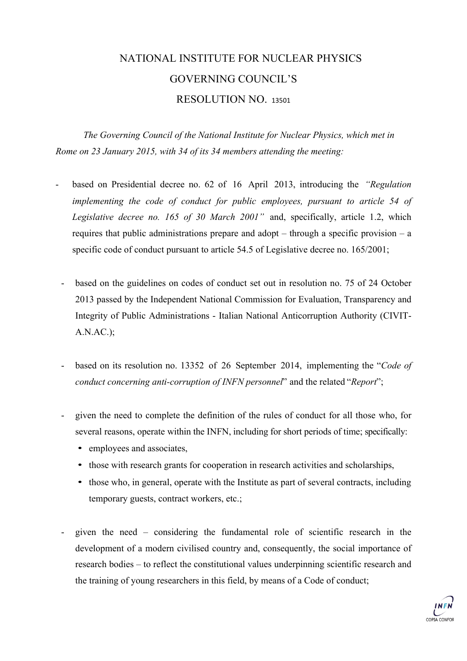### NATIONAL INSTITUTE FOR NUCLEAR PHYSICS GOVERNING COUNCIL'S RESOLUTION NO. <sup>13501</sup>

*The Governing Council of the National Institute for Nuclear Physics, which met in Rome on 23 January 2015, with 34 of its 34 members attending the meeting:*

- based on Presidential decree no. 62 of 16 April 2013, introducing the *"Regulation implementing the code of conduct for public employees, pursuant to article 54 of Legislative decree no. 165 of 30 March 2001"* and, specifically, article 1.2, which requires that public administrations prepare and adopt – through a specific provision – a specific code of conduct pursuant to article 54.5 of Legislative decree no. 165/2001;
	- based on the guidelines on codes of conduct set out in resolution no. 75 of 24 October 2013 passed by the Independent National Commission for Evaluation, Transparency and Integrity of Public Administrations - Italian National Anticorruption Authority (CIVIT-A.N.AC.);
	- based on its resolution no. 13352 of 26 September 2014, implementing the "*Code of conduct concerning anti-corruption of INFN personnel*" and the related "*Report*";
	- given the need to complete the definition of the rules of conduct for all those who, for several reasons, operate within the INFN, including for short periods of time; specifically:
		- employees and associates,
		- those with research grants for cooperation in research activities and scholarships,
		- those who, in general, operate with the Institute as part of several contracts, including temporary guests, contract workers, etc.;
	- given the need considering the fundamental role of scientific research in the development of a modern civilised country and, consequently, the social importance of research bodies – to reflect the constitutional values underpinning scientific research and the training of young researchers in this field, by means of a Code of conduct;

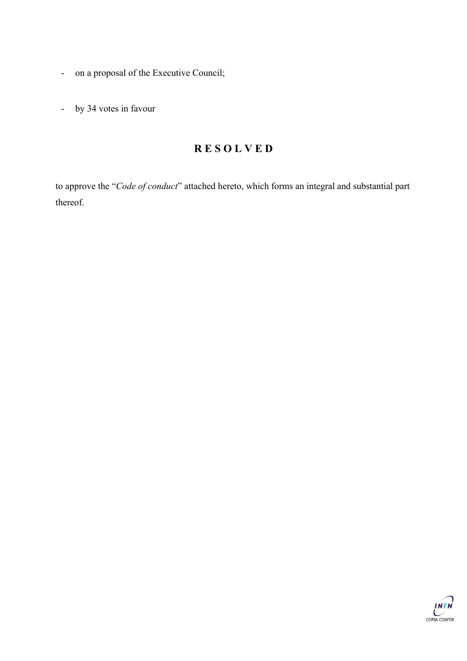- on a proposal of the Executive Council;
- by 34 votes in favour

#### **R E S O L V E D**

to approve the "*Code of conduct*" attached hereto, which forms an integral and substantial part thereof.

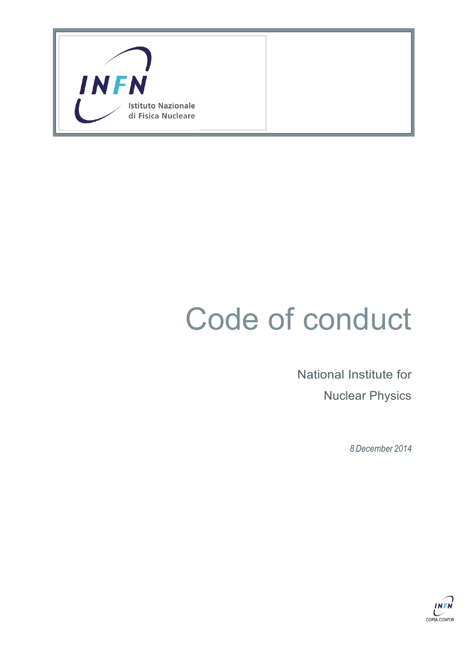

# Code of conduct

National Institute for Nuclear Physics

*8 December 2014*

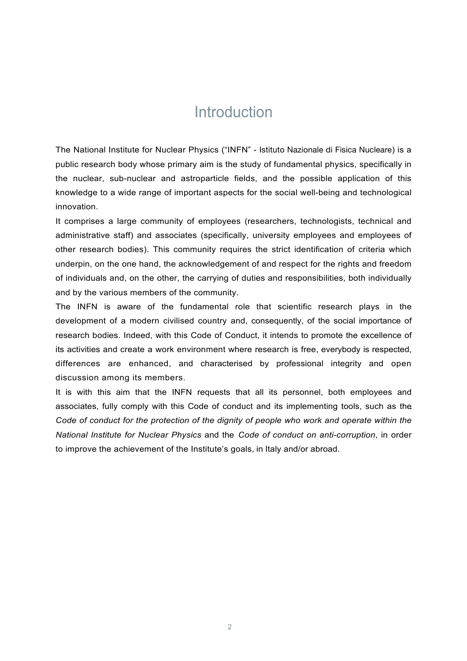### Introduction

The National Institute for Nuclear Physics ("INFN" - Istituto Nazionale di Fisica Nucleare) is a public research body whose primary aim is the study of fundamental physics, specifically in the nuclear, sub-nuclear and astroparticle fields, and the possible application of this knowledge to a wide range of important aspects for the social well-being and technological innovation.

It comprises a large community of employees (researchers, technologists, technical and administrative staff) and associates (specifically, university employees and employees of other research bodies). This community requires the strict identification of criteria which underpin, on the one hand, the acknowledgement of and respect for the rights and freedom of individuals and, on the other, the carrying of duties and responsibilities, both individually and by the various members of the community.

The INFN is aware of the fundamental role that scientific research plays in the development of a modern civilised country and, consequently, of the social importance of research bodies. Indeed, with this Code of Conduct, it intends to promote the excellence of its activities and create a work environment where research is free, everybody is respected, differences are enhanced, and characterised by professional integrity and open discussion among its members.

It is with this aim that the INFN requests that all its personnel, both employees and associates, fully comply with this Code of conduct and its implementing tools, such as the *Code of conduct for the protection of the dignity of people who work and operate within the National Institute for Nuclear Physics* and the *Code of conduct on anti-corruption*, in order to improve the achievement of the Institute's goals, in Italy and/or abroad.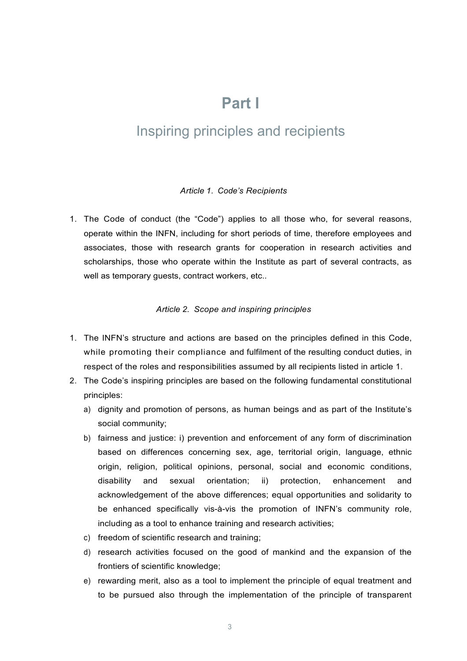### **Part I**

### Inspiring principles and recipients

#### *Article 1. Code's Recipients*

1. The Code of conduct (the "Code") applies to all those who, for several reasons, operate within the INFN, including for short periods of time, therefore employees and associates, those with research grants for cooperation in research activities and scholarships, those who operate within the Institute as part of several contracts, as well as temporary guests, contract workers, etc..

#### *Article 2. Scope and inspiring principles*

- 1. The INFN's structure and actions are based on the principles defined in this Code, while promoting their compliance and fulfilment of the resulting conduct duties, in respect of the roles and responsibilities assumed by all recipients listed in article 1.
- 2. The Code's inspiring principles are based on the following fundamental constitutional principles:
	- a) dignity and promotion of persons, as human beings and as part of the Institute's social community;
	- b) fairness and justice: i) prevention and enforcement of any form of discrimination based on differences concerning sex, age, territorial origin, language, ethnic origin, religion, political opinions, personal, social and economic conditions, disability and sexual orientation; ii) protection, enhancement and acknowledgement of the above differences; equal opportunities and solidarity to be enhanced specifically vis-à-vis the promotion of INFN's community role, including as a tool to enhance training and research activities;
	- c) freedom of scientific research and training;
	- d) research activities focused on the good of mankind and the expansion of the frontiers of scientific knowledge;
	- e) rewarding merit, also as a tool to implement the principle of equal treatment and to be pursued also through the implementation of the principle of transparent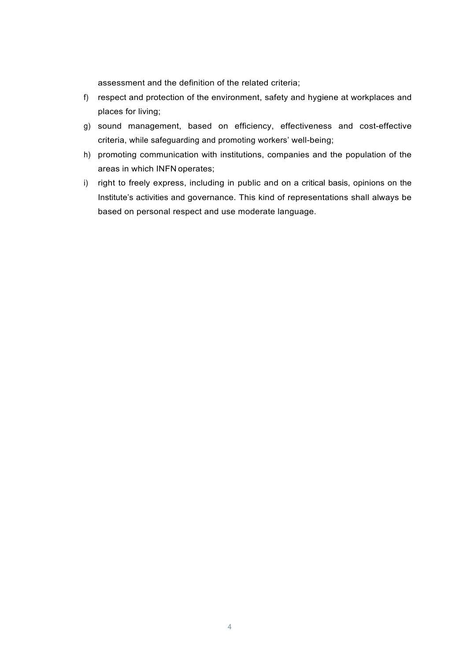assessment and the definition of the related criteria;

- f) respect and protection of the environment, safety and hygiene at workplaces and places for living;
- g) sound management, based on efficiency, effectiveness and cost-effective criteria, while safeguarding and promoting workers' well-being;
- h) promoting communication with institutions, companies and the population of the areas in which INFN operates;
- i) right to freely express, including in public and on a critical basis, opinions on the Institute's activities and governance. This kind of representations shall always be based on personal respect and use moderate language.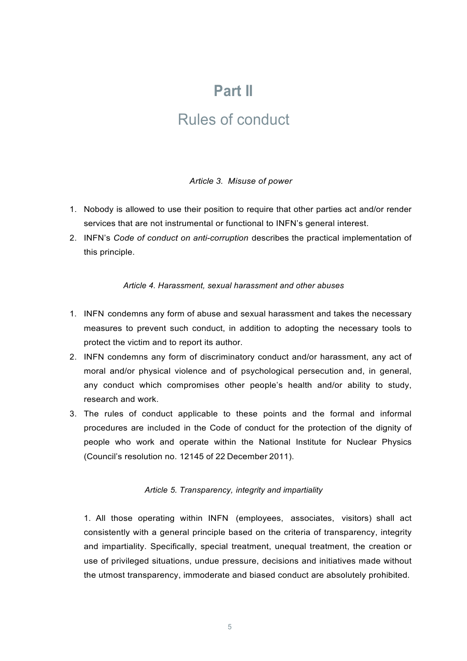### **Part II**

### Rules of conduct

#### *Article 3. Misuse of power*

- 1. Nobody is allowed to use their position to require that other parties act and/or render services that are not instrumental or functional to INFN's general interest.
- 2. INFN's *Code of conduct on anti-corruption* describes the practical implementation of this principle.

#### *Article 4. Harassment, sexual harassment and other abuses*

- 1. INFN condemns any form of abuse and sexual harassment and takes the necessary measures to prevent such conduct, in addition to adopting the necessary tools to protect the victim and to report its author.
- 2. INFN condemns any form of discriminatory conduct and/or harassment, any act of moral and/or physical violence and of psychological persecution and, in general, any conduct which compromises other people's health and/or ability to study, research and work.
- 3. The rules of conduct applicable to these points and the formal and informal procedures are included in the Code of conduct for the protection of the dignity of people who work and operate within the National Institute for Nuclear Physics (Council's resolution no. 12145 of 22 December 2011).

#### *Article 5. Transparency, integrity and impartiality*

1. All those operating within INFN (employees, associates, visitors) shall act consistently with a general principle based on the criteria of transparency, integrity and impartiality. Specifically, special treatment, unequal treatment, the creation or use of privileged situations, undue pressure, decisions and initiatives made without the utmost transparency, immoderate and biased conduct are absolutely prohibited.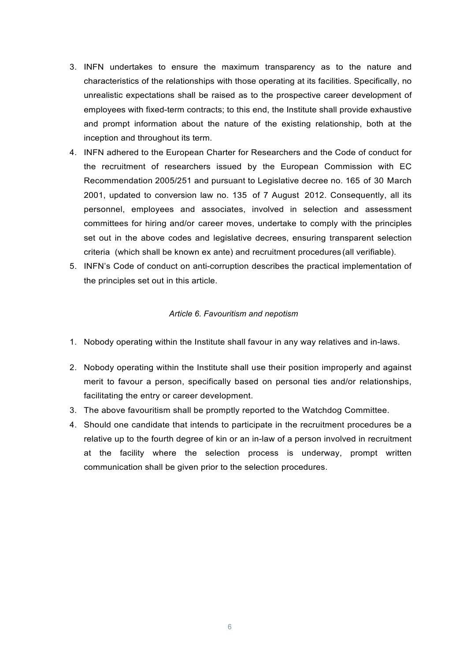- 3. INFN undertakes to ensure the maximum transparency as to the nature and characteristics of the relationships with those operating at its facilities. Specifically, no unrealistic expectations shall be raised as to the prospective career development of employees with fixed-term contracts; to this end, the Institute shall provide exhaustive and prompt information about the nature of the existing relationship, both at the inception and throughout its term.
- 4. INFN adhered to the European Charter for Researchers and the Code of conduct for the recruitment of researchers issued by the European Commission with EC Recommendation 2005/251 and pursuant to Legislative decree no. 165 of 30 March 2001, updated to conversion law no. 135 of 7 August 2012. Consequently, all its personnel, employees and associates, involved in selection and assessment committees for hiring and/or career moves, undertake to comply with the principles set out in the above codes and legislative decrees, ensuring transparent selection criteria (which shall be known ex ante) and recruitment procedures (all verifiable).
- 5. INFN's Code of conduct on anti-corruption describes the practical implementation of the principles set out in this article.

#### *Article 6. Favouritism and nepotism*

- 1. Nobody operating within the Institute shall favour in any way relatives and in-laws.
- 2. Nobody operating within the Institute shall use their position improperly and against merit to favour a person, specifically based on personal ties and/or relationships, facilitating the entry or career development.
- 3. The above favouritism shall be promptly reported to the Watchdog Committee.
- 4. Should one candidate that intends to participate in the recruitment procedures be a relative up to the fourth degree of kin or an in-law of a person involved in recruitment at the facility where the selection process is underway, prompt written communication shall be given prior to the selection procedures.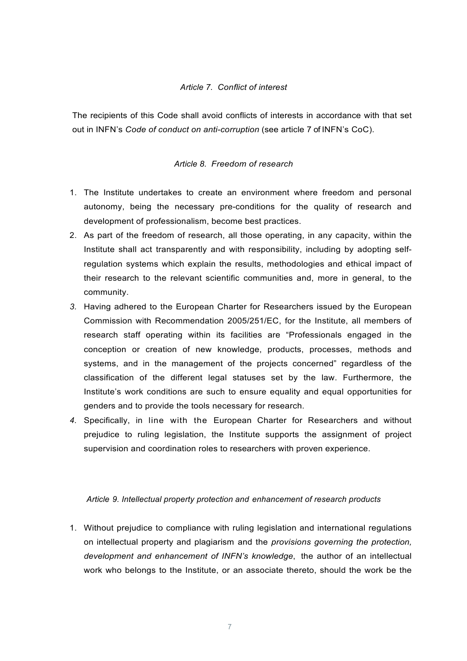#### *Article 7. Conflict of interest*

The recipients of this Code shall avoid conflicts of interests in accordance with that set out in INFN's *Code of conduct on anti-corruption* (see article 7 of INFN's CoC).

#### *Article 8. Freedom of research*

- 1. The Institute undertakes to create an environment where freedom and personal autonomy, being the necessary pre-conditions for the quality of research and development of professionalism, become best practices.
- 2. As part of the freedom of research, all those operating, in any capacity, within the Institute shall act transparently and with responsibility, including by adopting selfregulation systems which explain the results, methodologies and ethical impact of their research to the relevant scientific communities and, more in general, to the community.
- *3.* Having adhered to the European Charter for Researchers issued by the European Commission with Recommendation 2005/251/EC, for the Institute, all members of research staff operating within its facilities are "Professionals engaged in the conception or creation of new knowledge, products, processes, methods and systems, and in the management of the projects concerned" regardless of the classification of the different legal statuses set by the law. Furthermore, the Institute's work conditions are such to ensure equality and equal opportunities for genders and to provide the tools necessary for research.
- *4.* Specifically, in line with the European Charter for Researchers and without prejudice to ruling legislation, the Institute supports the assignment of project supervision and coordination roles to researchers with proven experience.

#### *Article 9. Intellectual property protection and enhancement of research products*

1. Without prejudice to compliance with ruling legislation and international regulations on intellectual property and plagiarism and the *provisions governing the protection, development and enhancement of INFN's knowledge*, the author of an intellectual work who belongs to the Institute, or an associate thereto, should the work be the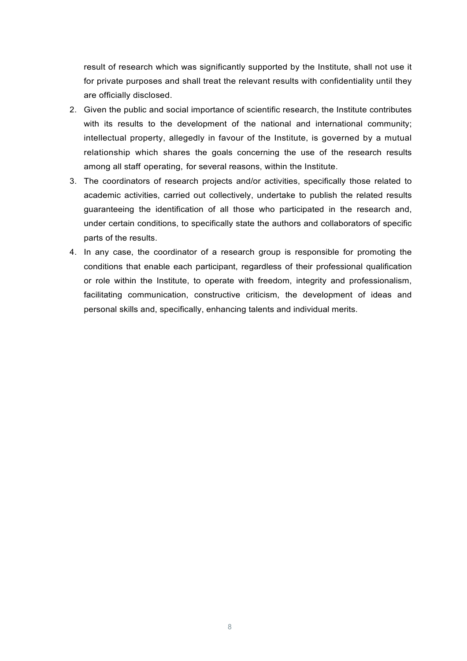result of research which was significantly supported by the Institute, shall not use it for private purposes and shall treat the relevant results with confidentiality until they are officially disclosed.

- 2. Given the public and social importance of scientific research, the Institute contributes with its results to the development of the national and international community; intellectual property, allegedly in favour of the Institute, is governed by a mutual relationship which shares the goals concerning the use of the research results among all staff operating, for several reasons, within the Institute.
- 3. The coordinators of research projects and/or activities, specifically those related to academic activities, carried out collectively, undertake to publish the related results guaranteeing the identification of all those who participated in the research and, under certain conditions, to specifically state the authors and collaborators of specific parts of the results.
- 4. In any case, the coordinator of a research group is responsible for promoting the conditions that enable each participant, regardless of their professional qualification or role within the Institute, to operate with freedom, integrity and professionalism, facilitating communication, constructive criticism, the development of ideas and personal skills and, specifically, enhancing talents and individual merits.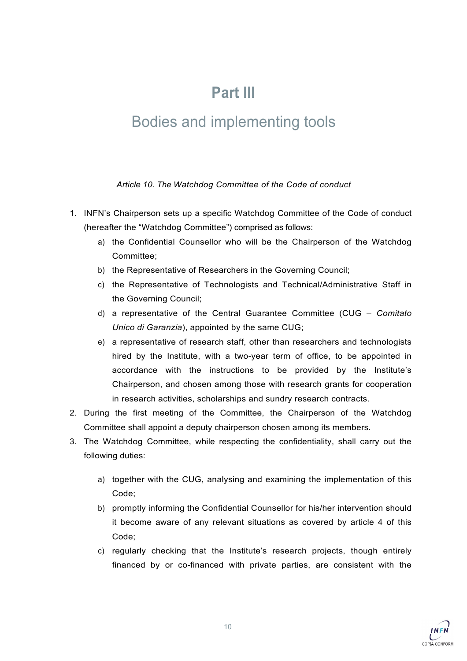# **Part III**

## Bodies and implementing tools

*Article 10. The Watchdog Committee of the Code of conduct*

- 1. INFN's Chairperson sets up a specific Watchdog Committee of the Code of conduct (hereafter the "Watchdog Committee") comprised as follows:
	- a) the Confidential Counsellor who will be the Chairperson of the Watchdog Committee;
	- b) the Representative of Researchers in the Governing Council;
	- c) the Representative of Technologists and Technical/Administrative Staff in the Governing Council;
	- d) a representative of the Central Guarantee Committee (CUG *Comitato Unico di Garanzia*), appointed by the same CUG;
	- e) a representative of research staff, other than researchers and technologists hired by the Institute, with a two-year term of office, to be appointed in accordance with the instructions to be provided by the Institute's Chairperson, and chosen among those with research grants for cooperation in research activities, scholarships and sundry research contracts.
- 2. During the first meeting of the Committee, the Chairperson of the Watchdog Committee shall appoint a deputy chairperson chosen among its members.
- 3. The Watchdog Committee, while respecting the confidentiality, shall carry out the following duties:
	- a) together with the CUG, analysing and examining the implementation of this Code;
	- b) promptly informing the Confidential Counsellor for his/her intervention should it become aware of any relevant situations as covered by article 4 of this Code;
	- c) regularly checking that the Institute's research projects, though entirely financed by or co-financed with private parties, are consistent with the